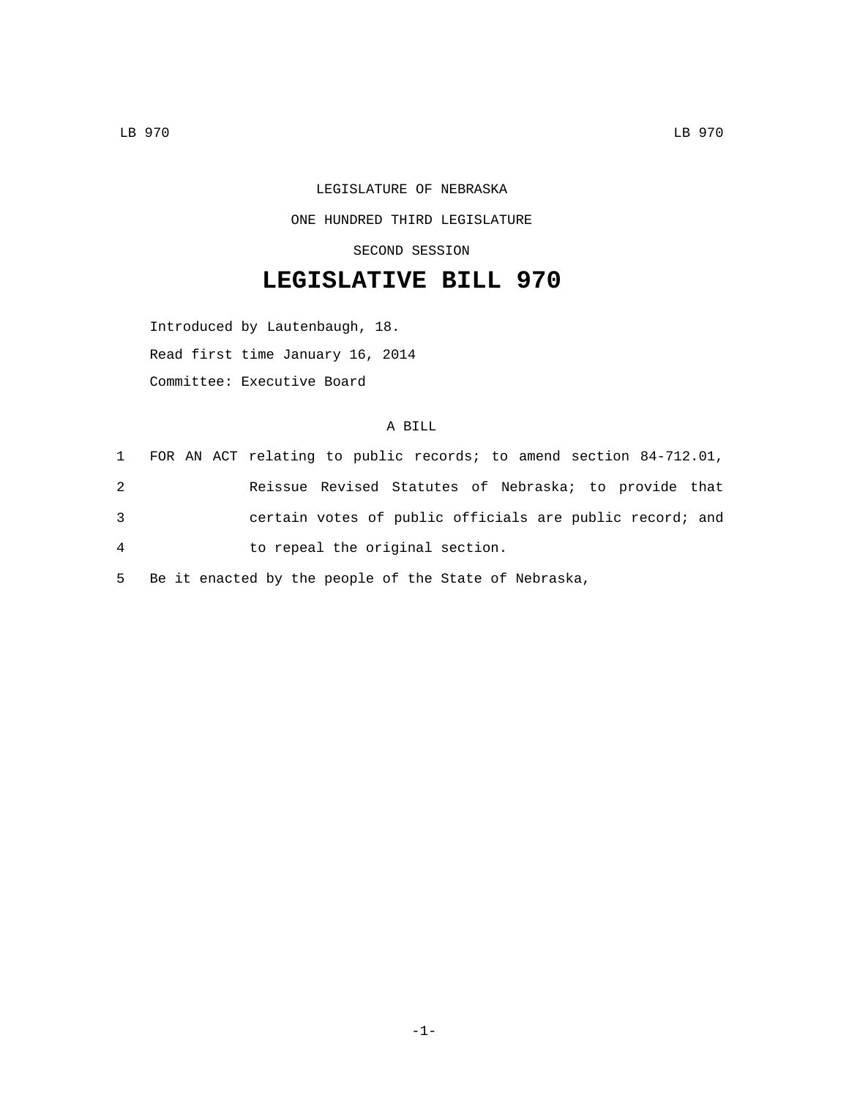## LEGISLATURE OF NEBRASKA ONE HUNDRED THIRD LEGISLATURE

SECOND SESSION

## **LEGISLATIVE BILL 970**

Introduced by Lautenbaugh, 18. Read first time January 16, 2014 Committee: Executive Board

## A BILL

|                | 1 FOR AN ACT relating to public records; to amend section 84-712.01, |
|----------------|----------------------------------------------------------------------|
| 2              | Reissue Revised Statutes of Nebraska; to provide that                |
| 3              | certain votes of public officials are public record; and             |
| $\overline{4}$ | to repeal the original section.                                      |

5 Be it enacted by the people of the State of Nebraska,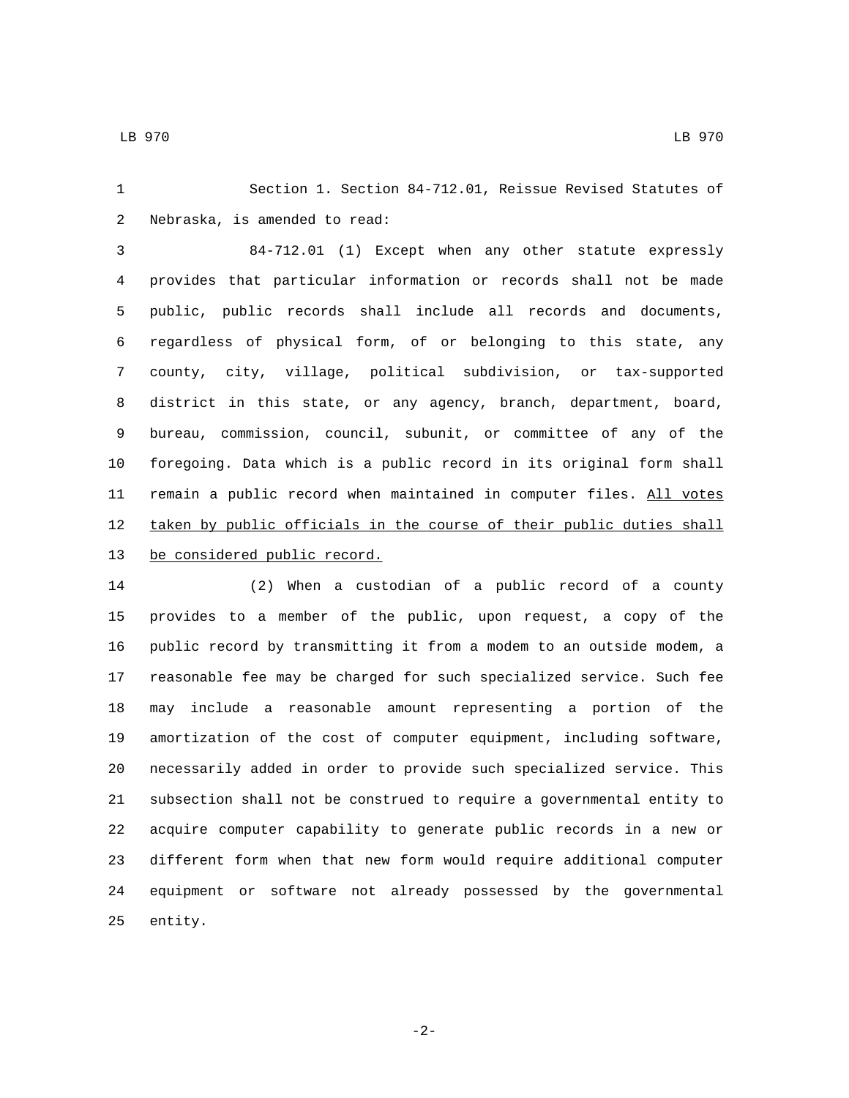LB 970 LB 970

 Section 1. Section 84-712.01, Reissue Revised Statutes of 2 Nebraska, is amended to read:

 84-712.01 (1) Except when any other statute expressly provides that particular information or records shall not be made public, public records shall include all records and documents, regardless of physical form, of or belonging to this state, any county, city, village, political subdivision, or tax-supported district in this state, or any agency, branch, department, board, bureau, commission, council, subunit, or committee of any of the foregoing. Data which is a public record in its original form shall remain a public record when maintained in computer files. All votes 12 taken by public officials in the course of their public duties shall 13 be considered public record.

 (2) When a custodian of a public record of a county provides to a member of the public, upon request, a copy of the public record by transmitting it from a modem to an outside modem, a reasonable fee may be charged for such specialized service. Such fee may include a reasonable amount representing a portion of the amortization of the cost of computer equipment, including software, necessarily added in order to provide such specialized service. This subsection shall not be construed to require a governmental entity to acquire computer capability to generate public records in a new or different form when that new form would require additional computer equipment or software not already possessed by the governmental 25 entity.